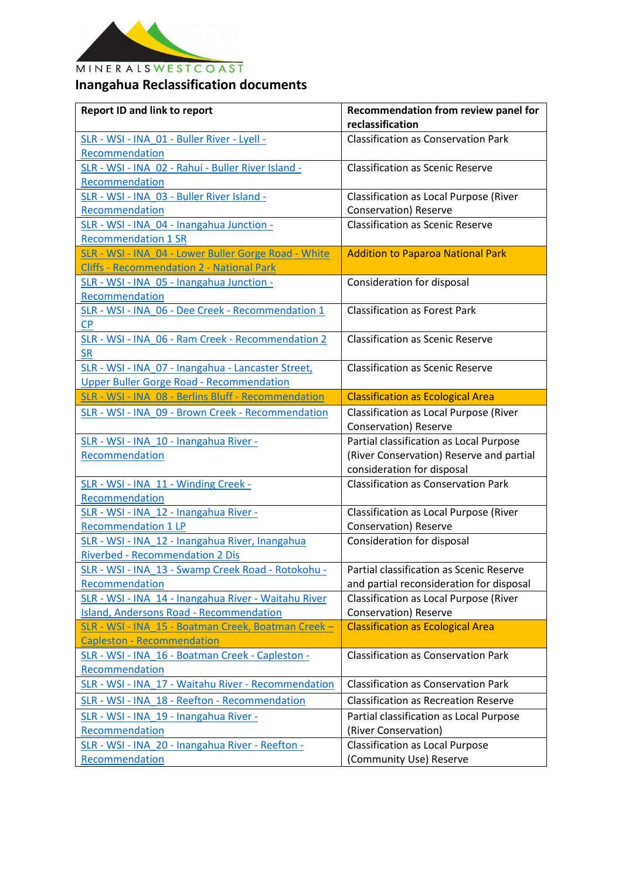

## MINERALSWESTCOAST **Inangahua Reclassification documents**

| <b>Report ID and link to report</b>                                                                      | Recommendation from review panel for<br>reclassification                                                          |
|----------------------------------------------------------------------------------------------------------|-------------------------------------------------------------------------------------------------------------------|
| SLR - WSI - INA 01 - Buller River - Lyell -<br>Recommendation                                            | <b>Classification as Conservation Park</b>                                                                        |
| SLR - WSI - INA 02 - Rahui - Buller River Island -<br>Recommendation                                     | <b>Classification as Scenic Reserve</b>                                                                           |
| SLR - WSI - INA 03 - Buller River Island -<br>Recommendation                                             | Classification as Local Purpose (River<br><b>Conservation</b> ) Reserve                                           |
| SLR - WSI - INA 04 - Inangahua Junction -<br><b>Recommendation 1 SR</b>                                  | <b>Classification as Scenic Reserve</b>                                                                           |
| SLR - WSI - INA 04 - Lower Buller Gorge Road - White<br><b>Cliffs - Recommendation 2 - National Park</b> | <b>Addition to Paparoa National Park</b>                                                                          |
| SLR - WSI - INA 05 - Inangahua Junction -<br>Recommendation                                              | Consideration for disposal                                                                                        |
| SLR - WSI - INA 06 - Dee Creek - Recommendation 1<br>CP                                                  | <b>Classification as Forest Park</b>                                                                              |
| SLR - WSI - INA 06 - Ram Creek - Recommendation 2<br><b>SR</b>                                           | <b>Classification as Scenic Reserve</b>                                                                           |
| SLR - WSI - INA 07 - Inangahua - Lancaster Street,<br><b>Upper Buller Gorge Road - Recommendation</b>    | <b>Classification as Scenic Reserve</b>                                                                           |
| SLR - WSI - INA 08 - Berlins Bluff - Recommendation                                                      | <b>Classification as Ecological Area</b>                                                                          |
| SLR - WSI - INA 09 - Brown Creek - Recommendation                                                        | Classification as Local Purpose (River<br>Conservation) Reserve                                                   |
| SLR - WSI - INA 10 - Inangahua River -<br>Recommendation                                                 | Partial classification as Local Purpose<br>(River Conservation) Reserve and partial<br>consideration for disposal |
| SLR - WSI - INA 11 - Winding Creek -<br>Recommendation                                                   | <b>Classification as Conservation Park</b>                                                                        |
| SLR - WSI - INA 12 - Inangahua River -<br><b>Recommendation 1 LP</b>                                     | <b>Classification as Local Purpose (River</b><br>Conservation) Reserve                                            |
| SLR - WSI - INA 12 - Inangahua River, Inangahua<br><b>Riverbed - Recommendation 2 Dis</b>                | Consideration for disposal                                                                                        |
| SLR - WSI - INA 13 - Swamp Creek Road - Rotokohu -<br>Recommendation                                     | Partial classification as Scenic Reserve<br>and partial reconsideration for disposal                              |
| SLR - WSI - INA 14 - Inangahua River - Waitahu River<br><b>Island, Andersons Road - Recommendation</b>   | <b>Classification as Local Purpose (River</b><br>Conservation) Reserve                                            |
| SLR - WSI - INA 15 - Boatman Creek, Boatman Creek -<br><b>Capleston - Recommendation</b>                 | <b>Classification as Ecological Area</b>                                                                          |
| SLR - WSI - INA 16 - Boatman Creek - Capleston -<br>Recommendation                                       | <b>Classification as Conservation Park</b>                                                                        |
| SLR - WSI - INA 17 - Waitahu River - Recommendation                                                      | <b>Classification as Conservation Park</b>                                                                        |
| SLR - WSI - INA 18 - Reefton - Recommendation                                                            | <b>Classification as Recreation Reserve</b>                                                                       |
| SLR - WSI - INA 19 - Inangahua River -<br>Recommendation                                                 | Partial classification as Local Purpose<br>(River Conservation)                                                   |
| SLR - WSI - INA 20 - Inangahua River - Reefton -                                                         | <b>Classification as Local Purpose</b>                                                                            |
| Recommendation                                                                                           | (Community Use) Reserve                                                                                           |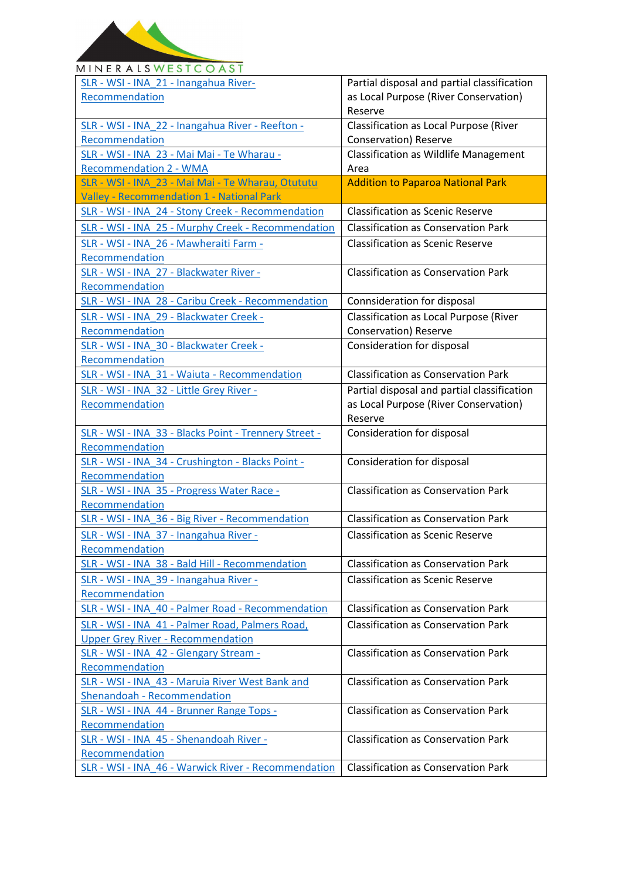

## MINERALSWESTCOAST

| SLR - WSI - INA 21 - Inangahua River-                 | Partial disposal and partial classification  |
|-------------------------------------------------------|----------------------------------------------|
| Recommendation                                        | as Local Purpose (River Conservation)        |
|                                                       | Reserve                                      |
| SLR - WSI - INA 22 - Inangahua River - Reefton -      | Classification as Local Purpose (River       |
| Recommendation                                        | Conservation) Reserve                        |
| SLR - WSI - INA 23 - Mai Mai - Te Wharau -            | <b>Classification as Wildlife Management</b> |
| <b>Recommendation 2 - WMA</b>                         | Area                                         |
|                                                       |                                              |
| SLR - WSI - INA 23 - Mai Mai - Te Wharau, Otututu     | <b>Addition to Paparoa National Park</b>     |
| <b>Valley - Recommendation 1 - National Park</b>      |                                              |
| SLR - WSI - INA 24 - Stony Creek - Recommendation     | <b>Classification as Scenic Reserve</b>      |
| SLR - WSI - INA 25 - Murphy Creek - Recommendation    | <b>Classification as Conservation Park</b>   |
| SLR - WSI - INA 26 - Mawheraiti Farm -                | <b>Classification as Scenic Reserve</b>      |
| Recommendation                                        |                                              |
| SLR - WSI - INA 27 - Blackwater River -               | <b>Classification as Conservation Park</b>   |
| Recommendation                                        |                                              |
|                                                       |                                              |
| SLR - WSI - INA 28 - Caribu Creek - Recommendation    | Connsideration for disposal                  |
| SLR - WSI - INA 29 - Blackwater Creek -               | Classification as Local Purpose (River       |
| Recommendation                                        | <b>Conservation</b> ) Reserve                |
| SLR - WSI - INA 30 - Blackwater Creek -               | Consideration for disposal                   |
| Recommendation                                        |                                              |
| SLR - WSI - INA 31 - Waiuta - Recommendation          | <b>Classification as Conservation Park</b>   |
| SLR - WSI - INA 32 - Little Grey River -              | Partial disposal and partial classification  |
| Recommendation                                        | as Local Purpose (River Conservation)        |
|                                                       | Reserve                                      |
|                                                       |                                              |
|                                                       |                                              |
| SLR - WSI - INA 33 - Blacks Point - Trennery Street - | Consideration for disposal                   |
| Recommendation                                        |                                              |
| SLR - WSI - INA 34 - Crushington - Blacks Point -     | Consideration for disposal                   |
| Recommendation                                        |                                              |
| SLR - WSI - INA 35 - Progress Water Race -            | <b>Classification as Conservation Park</b>   |
| Recommendation                                        |                                              |
| SLR - WSI - INA 36 - Big River - Recommendation       | <b>Classification as Conservation Park</b>   |
|                                                       |                                              |
| SLR - WSI - INA 37 - Inangahua River -                | <b>Classification as Scenic Reserve</b>      |
| Recommendation                                        |                                              |
| SLR - WSI - INA 38 - Bald Hill - Recommendation       | <b>Classification as Conservation Park</b>   |
| SLR - WSI - INA 39 - Inangahua River -                | <b>Classification as Scenic Reserve</b>      |
| Recommendation                                        |                                              |
| SLR - WSI - INA 40 - Palmer Road - Recommendation     | <b>Classification as Conservation Park</b>   |
| SLR - WSI - INA 41 - Palmer Road, Palmers Road,       | <b>Classification as Conservation Park</b>   |
| <b>Upper Grey River - Recommendation</b>              |                                              |
|                                                       | <b>Classification as Conservation Park</b>   |
| SLR - WSI - INA 42 - Glengary Stream -                |                                              |
| Recommendation                                        |                                              |
| SLR - WSI - INA 43 - Maruia River West Bank and       | <b>Classification as Conservation Park</b>   |
| <b>Shenandoah - Recommendation</b>                    |                                              |
| SLR - WSI - INA 44 - Brunner Range Tops -             | <b>Classification as Conservation Park</b>   |
| <b>Recommendation</b>                                 |                                              |
| SLR - WSI - INA 45 - Shenandoah River -               | <b>Classification as Conservation Park</b>   |
| Recommendation                                        | <b>Classification as Conservation Park</b>   |